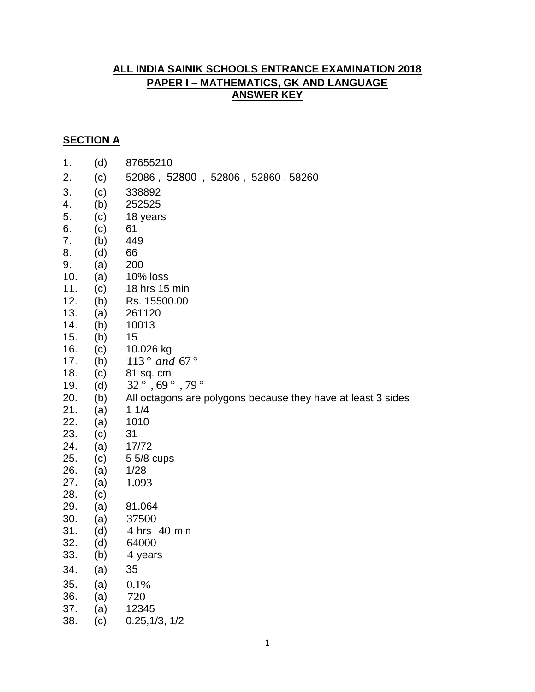## **ALL INDIA SAINIK SCHOOLS ENTRANCE EXAMINATION 2018 PAPER I – MATHEMATICS, GK AND LANGUAGE ANSWER KEY**

## **SECTION A**

| (d) | 87655210                                                                                                            |  |  |  |
|-----|---------------------------------------------------------------------------------------------------------------------|--|--|--|
| (c) | 52086, 52800, 52806, 52860, 58260                                                                                   |  |  |  |
|     | 338892                                                                                                              |  |  |  |
|     | 252525                                                                                                              |  |  |  |
|     | 18 years                                                                                                            |  |  |  |
|     | 61                                                                                                                  |  |  |  |
|     | 449                                                                                                                 |  |  |  |
|     | 66                                                                                                                  |  |  |  |
|     | 200                                                                                                                 |  |  |  |
|     | 10% loss                                                                                                            |  |  |  |
|     | 18 hrs 15 min                                                                                                       |  |  |  |
|     | Rs. 15500.00                                                                                                        |  |  |  |
|     | 261120                                                                                                              |  |  |  |
|     | 10013                                                                                                               |  |  |  |
|     | 15                                                                                                                  |  |  |  |
|     | 10.026 kg                                                                                                           |  |  |  |
| (b) | 113 $^{\circ}$ and 67 $^{\circ}$                                                                                    |  |  |  |
| (c) | 81 sq. cm                                                                                                           |  |  |  |
| (d) | $32^{\circ}$ , 69 $^{\circ}$ , 79 $^{\circ}$                                                                        |  |  |  |
|     | All octagons are polygons because they have at least 3 sides                                                        |  |  |  |
| (a) | 11/4                                                                                                                |  |  |  |
| (a) | 1010                                                                                                                |  |  |  |
| (c) | 31                                                                                                                  |  |  |  |
| (a) | 17/72                                                                                                               |  |  |  |
| (c) | 5 5/8 cups                                                                                                          |  |  |  |
| (a) | 1/28                                                                                                                |  |  |  |
| (a) | 1.093                                                                                                               |  |  |  |
| (c) |                                                                                                                     |  |  |  |
| (a) | 81.064                                                                                                              |  |  |  |
| (a) | 37500                                                                                                               |  |  |  |
| (d) | 4 hrs 40 min                                                                                                        |  |  |  |
|     | 64000                                                                                                               |  |  |  |
| (b) | 4 years                                                                                                             |  |  |  |
| (a) | 35                                                                                                                  |  |  |  |
|     | 0.1%                                                                                                                |  |  |  |
| (a) | 720                                                                                                                 |  |  |  |
| (a) | 12345                                                                                                               |  |  |  |
| (c) | 0.25,1/3,1/2                                                                                                        |  |  |  |
|     | (c)<br>(b)<br>(c)<br>(c)<br>(b)<br>(d)<br>(a)<br>(a)<br>(c)<br>(b)<br>(a)<br>(b)<br>(b)<br>(c)<br>(b)<br>(d)<br>(a) |  |  |  |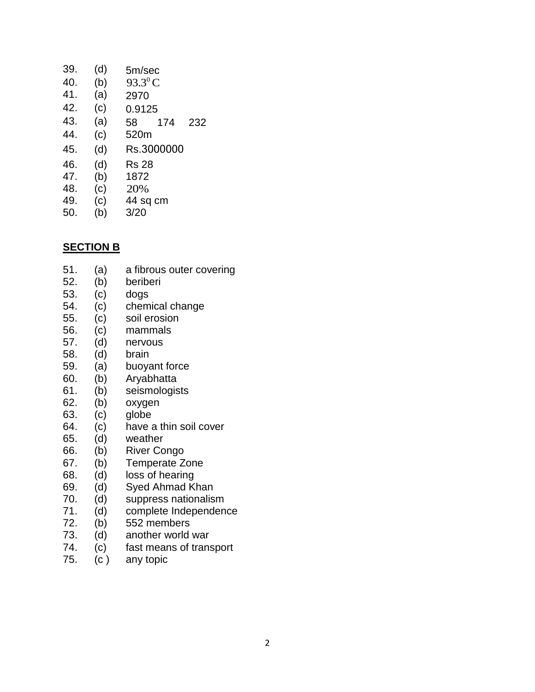| 39. | (d) | 5m/sec           |
|-----|-----|------------------|
| 40. | (b) | $93.3^{\circ}$ C |
| 41. | (a) | 2970             |
| 42. | (c) | 0.9125           |
| 43. | (a) | 58<br>174<br>232 |
| 44. | (c) | 520m             |
| 45. | (d) | Rs.3000000       |
| 46. | (d) | <b>Rs 28</b>     |
| 47. | (b) | 1872             |
| 48. | (c) | 20%              |
| 49. | (c) | 44 sq cm         |
| 50. | (b) | 3/20             |
|     |     |                  |

51. (a) a fibrous outer covering

## **SECTION B**

| 52.<br>53.<br>54.<br>55.<br>56.<br>57.<br>58.<br>59.<br>60.<br>61.<br>62.<br>63.<br>64.<br>65.<br>66.<br>67.<br>68.<br>69.<br>70.<br>71.<br>72.<br>73. | (b)<br>(c)<br>(c)<br>(c)<br>(c)<br>(d)<br>(d)<br>(a)<br>(b)<br>(b)<br>(b)<br>(c)<br>(c)<br>(d)<br>(b)<br>(b)<br>(d)<br>(d)<br>(d)<br>(d)<br>(b)<br>(d) | beriberi<br>dogs<br>chemical change<br>soil erosion<br>mammals<br>nervous<br>brain<br>buoyant force<br>Aryabhatta<br>seismologists<br>oxygen<br>globe<br>have a thin soil cover<br>weather<br><b>River Congo</b><br><b>Temperate Zone</b><br>loss of hearing<br>Syed Ahmad Khan<br>suppress nationalism<br>complete Independence<br>552 members<br>another world war |
|--------------------------------------------------------------------------------------------------------------------------------------------------------|--------------------------------------------------------------------------------------------------------------------------------------------------------|----------------------------------------------------------------------------------------------------------------------------------------------------------------------------------------------------------------------------------------------------------------------------------------------------------------------------------------------------------------------|
|                                                                                                                                                        |                                                                                                                                                        |                                                                                                                                                                                                                                                                                                                                                                      |
|                                                                                                                                                        |                                                                                                                                                        |                                                                                                                                                                                                                                                                                                                                                                      |
| 74.                                                                                                                                                    | (c)                                                                                                                                                    | fast means of transport                                                                                                                                                                                                                                                                                                                                              |
| 75.                                                                                                                                                    | (c)                                                                                                                                                    | any topic                                                                                                                                                                                                                                                                                                                                                            |
|                                                                                                                                                        |                                                                                                                                                        |                                                                                                                                                                                                                                                                                                                                                                      |
|                                                                                                                                                        |                                                                                                                                                        |                                                                                                                                                                                                                                                                                                                                                                      |